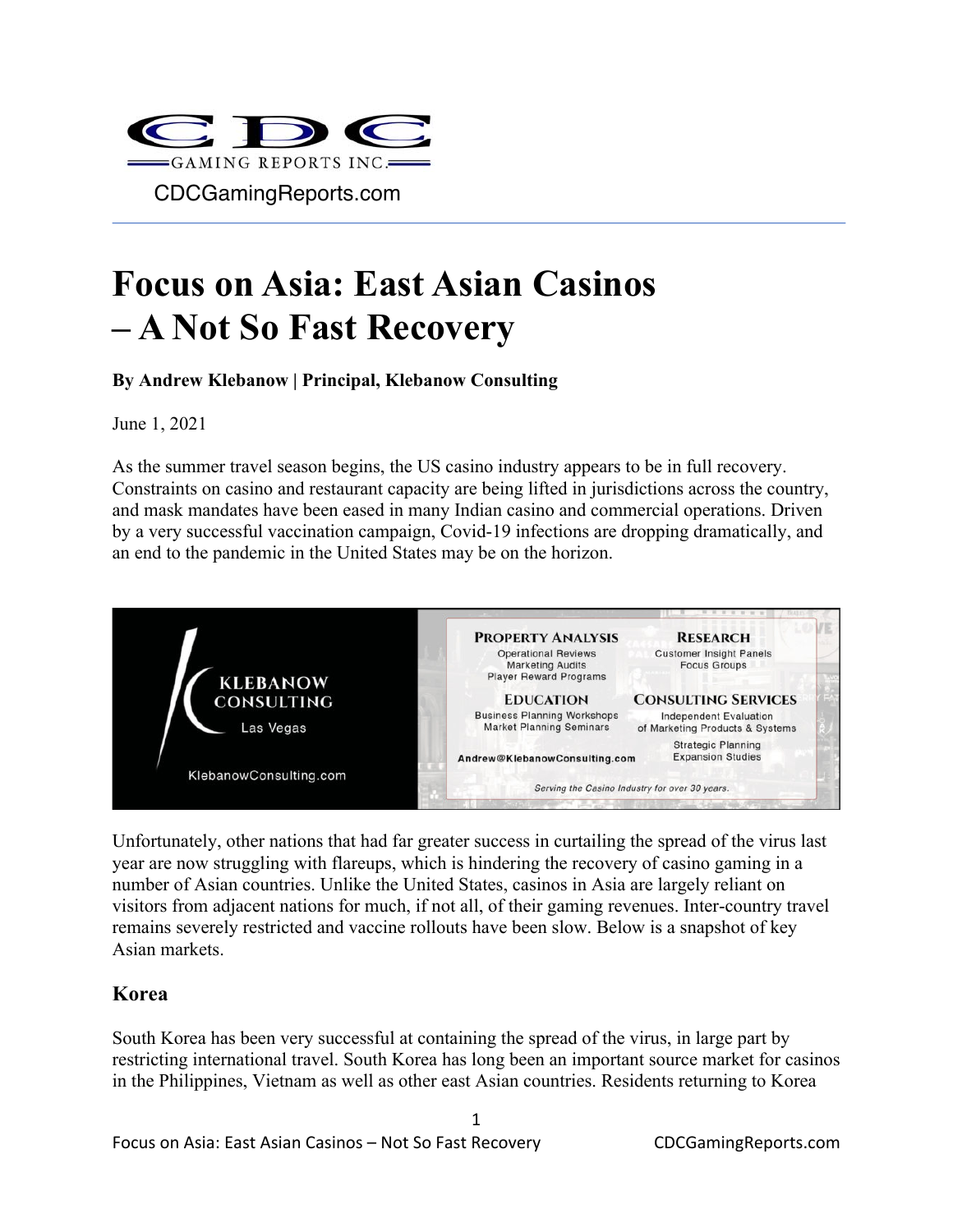

# **Focus on Asia: East Asian Casinos – A Not So Fast Recovery**

**By Andrew Klebanow | Principal, Klebanow Consulting**

June 1, 2021

As the summer travel season begins, the US casino industry appears to be in full recovery. Constraints on casino and restaurant capacity are being lifted in jurisdictions across the country, and mask mandates have been eased in many Indian casino and commercial operations. Driven by a very successful vaccination campaign, Covid-19 infections are dropping dramatically, and an end to the pandemic in the United States may be on the horizon.



Unfortunately, other nations that had far greater success in curtailing the spread of the virus last year are now struggling with flareups, which is hindering the recovery of casino gaming in a number of Asian countries. Unlike the United States, casinos in Asia are largely reliant on visitors from adjacent nations for much, if not all, of their gaming revenues. Inter-country travel remains severely restricted and vaccine rollouts have been slow. Below is a snapshot of key Asian markets.

#### **Korea**

South Korea has been very successful at containing the spread of the virus, in large part by restricting international travel. South Korea has long been an important source market for casinos in the Philippines, Vietnam as well as other east Asian countries. Residents returning to Korea

1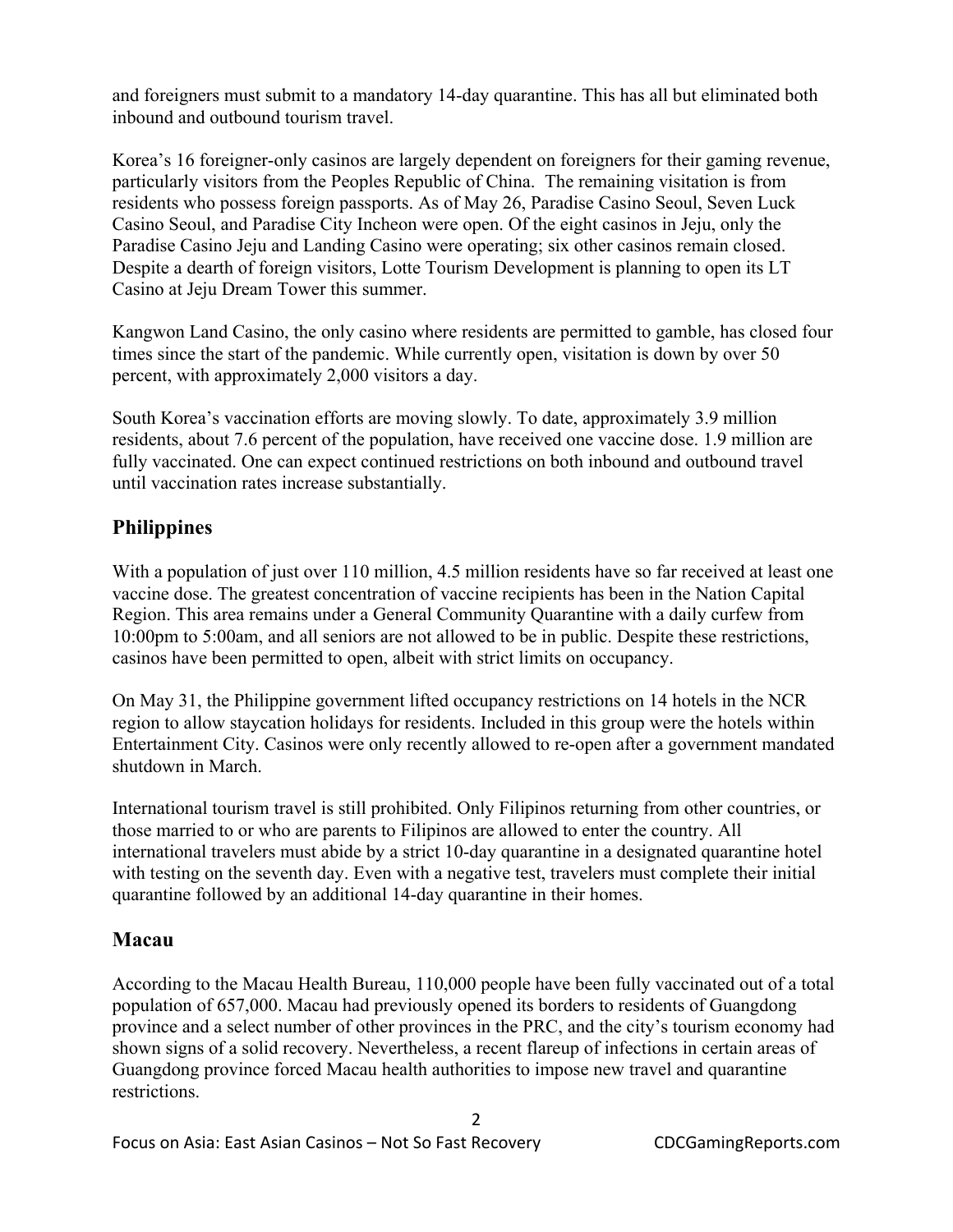and foreigners must submit to a mandatory 14-day quarantine. This has all but eliminated both inbound and outbound tourism travel.

Korea's 16 foreigner-only casinos are largely dependent on foreigners for their gaming revenue, particularly visitors from the Peoples Republic of China. The remaining visitation is from residents who possess foreign passports. As of May 26, Paradise Casino Seoul, Seven Luck Casino Seoul, and Paradise City Incheon were open. Of the eight casinos in Jeju, only the Paradise Casino Jeju and Landing Casino were operating; six other casinos remain closed. Despite a dearth of foreign visitors, Lotte Tourism Development is planning to open its LT Casino at Jeju Dream Tower this summer.

Kangwon Land Casino, the only casino where residents are permitted to gamble, has closed four times since the start of the pandemic. While currently open, visitation is down by over 50 percent, with approximately 2,000 visitors a day.

South Korea's vaccination efforts are moving slowly. To date, approximately 3.9 million residents, about 7.6 percent of the population, have received one vaccine dose. 1.9 million are fully vaccinated. One can expect continued restrictions on both inbound and outbound travel until vaccination rates increase substantially.

# **Philippines**

With a population of just over 110 million, 4.5 million residents have so far received at least one vaccine dose. The greatest concentration of vaccine recipients has been in the Nation Capital Region. This area remains under a General Community Quarantine with a daily curfew from 10:00pm to 5:00am, and all seniors are not allowed to be in public. Despite these restrictions, casinos have been permitted to open, albeit with strict limits on occupancy.

On May 31, the Philippine government lifted occupancy restrictions on 14 hotels in the NCR region to allow staycation holidays for residents. Included in this group were the hotels within Entertainment City. Casinos were only recently allowed to re-open after a government mandated shutdown in March.

International tourism travel is still prohibited. Only Filipinos returning from other countries, or those married to or who are parents to Filipinos are allowed to enter the country. All international travelers must abide by a strict 10-day quarantine in a designated quarantine hotel with testing on the seventh day. Even with a negative test, travelers must complete their initial quarantine followed by an additional 14-day quarantine in their homes.

### **Macau**

According to the Macau Health Bureau, 110,000 people have been fully vaccinated out of a total population of 657,000. Macau had previously opened its borders to residents of Guangdong province and a select number of other provinces in the PRC, and the city's tourism economy had shown signs of a solid recovery. Nevertheless, a recent flareup of infections in certain areas of Guangdong province forced Macau health authorities to impose new travel and quarantine restrictions.

2